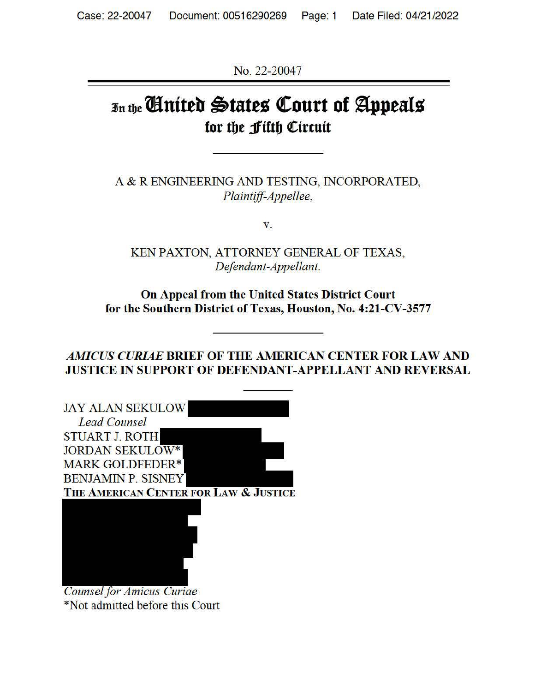No. 22-20047

# 3Jn t{Je **llnittb ~tates ~ourt of ~peals**  for the *f* ifth *Circuit*

A & R ENGINEERING AND TESTING, INCORPORATED, *Plaintiff-Appellee,* 

**V.** 

KEN PAXTON, ATTORNEY GENERAL OF TEXAS, *Defendant-Appellant.* 

**On Appeal from the United States District Court for the Southern District of Texas, Houston, No. 4:21-CV-3577** 

*AMICUS CURIAE* **BRIEF OF THE AMERICAN CENTER FOR LAW AND JUSTICE** IN **SUPPORT OF DEFENDANT-APPELLANT AND REVERSAL** 

| <b>JAY ALAN SEKULOW</b>               |
|---------------------------------------|
| <b>Lead Counsel</b>                   |
| <b>STUART J. ROTH</b>                 |
| <b>JORDAN SEKULOW*</b>                |
| <b>MARK GOLDFEDER*</b>                |
| <b>BENJAMIN P. SISNEY</b>             |
| THE AMERICAN CENTER FOR LAW & JUSTICE |
|                                       |
|                                       |
|                                       |
|                                       |
|                                       |
|                                       |
| <b>Counsel for Amicus Curiae</b>      |

\*Not admitted before this Court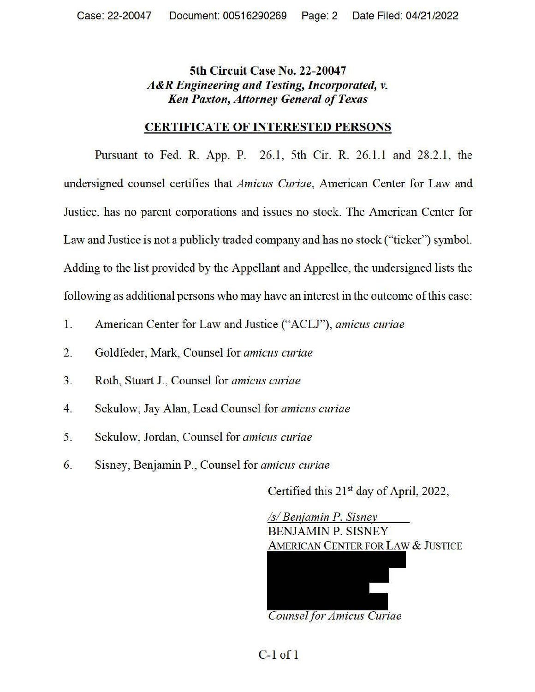## **5th Circuit Case No. 22-20047**  *A&R Engineering and Testing, Incorporated, v. Ken Paxton, Attorney General of Texas*

#### **CERTIFICATE OF INTERESTED PERSONS**

Pursuant to Fed. R. App. P. 26.1, 5th Cir. R. 26.1.1 and 28.2.1, the undersigned counsel certifies that *Amicus Curiae,* American Center for Law and Justice, has no parent corporations and issues no stock. The American Center for Law and Justice is not a publicly traded company and has no stock ("ticker") symbol. Adding to the list provided by the Appellant and Appellee, the undersigned lists the following as additional persons who may have an interest in the outcome of this case:

- 1. American Center for Law and Justice ("ACLJ"), *amicus curiae*
- 2. Goldfeder, Mark, Counsel for *amicus curiae*
- 3. Roth, Stuart J., Counsel for *amicus curiae*
- 4. Sekulow, Jay Alan, Lead Counsel for *amicus curiae*
- 5. Sekulow, Jordan, Counsel for *amicus curiae*
- 6. Sisney, Benjamin P., Counsel for *amicus curiae*

Certified this 21<sup>st</sup> day of April, 2022,



*Counsel for Amicus Curiae* 

C-1 of 1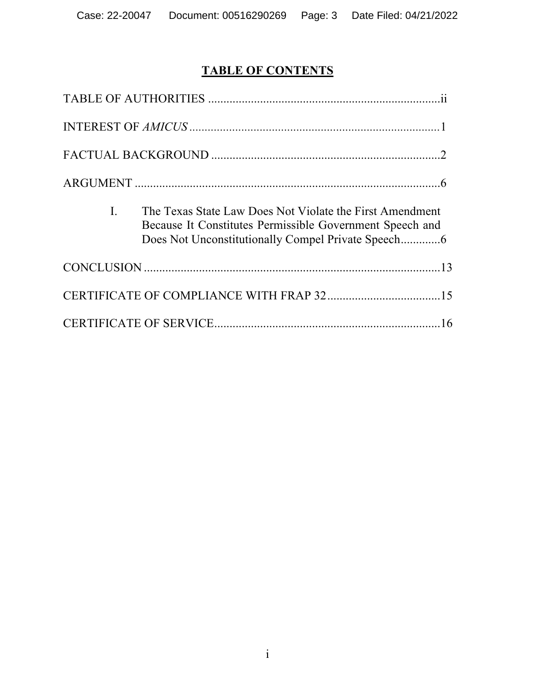# **TABLE OF CONTENTS**

| The Texas State Law Does Not Violate the First Amendment<br>$\mathbf{L}$<br>Because It Constitutes Permissible Government Speech and |
|--------------------------------------------------------------------------------------------------------------------------------------|
|                                                                                                                                      |
|                                                                                                                                      |
|                                                                                                                                      |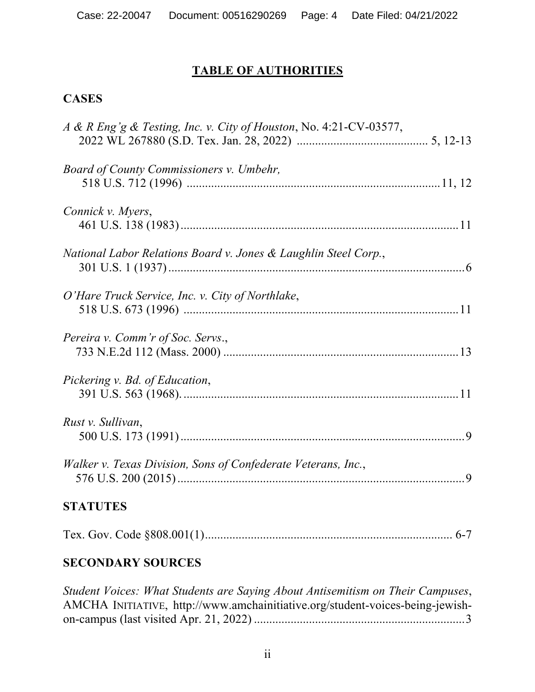# **TABLE OF AUTHORITIES**

## **CASES**

| A & R Eng'g & Testing, Inc. v. City of Houston, No. 4:21-CV-03577, |
|--------------------------------------------------------------------|
| <b>Board of County Commissioners v. Umbehr,</b>                    |
| Connick v. Myers,                                                  |
| National Labor Relations Board v. Jones & Laughlin Steel Corp.,    |
| O'Hare Truck Service, Inc. v. City of Northlake,                   |
| Pereira v. Comm'r of Soc. Servs.,                                  |
| Pickering v. Bd. of Education,                                     |
| Rust v. Sullivan,                                                  |
| Walker v. Texas Division, Sons of Confederate Veterans, Inc.,      |
| <b>STATUTES</b>                                                    |
|                                                                    |

# **SECONDARY SOURCES**

*Student Voices: What Students are Saying About Antisemitism on Their Campuses*, AMCHA INITIATIVE, http://www.amchainitiative.org/student-voices-being-jewishon-campus (last visited Apr. 21, 2022) ..................................................................... 3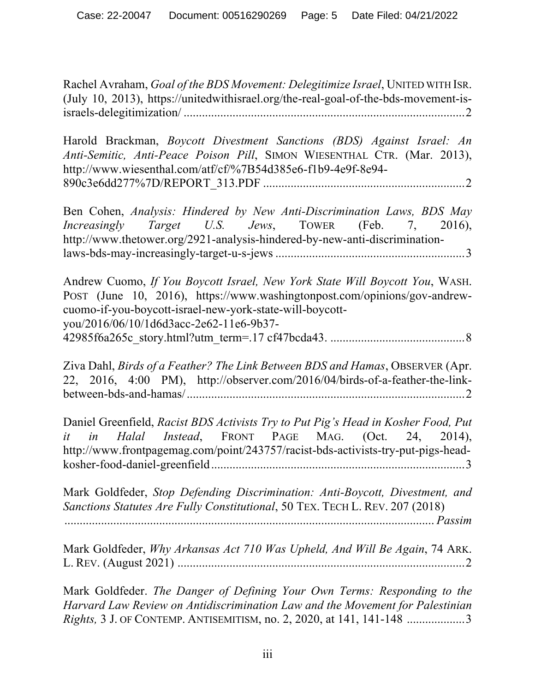Rachel Avraham, *Goal of the BDS Movement: Delegitimize Israel*, UNITED WITH ISR. (July 10, 2013), https://unitedwithisrael.org/the-real-goal-of-the-bds-movement-isisraels-delegitimization/ ............................................................................................ 2

Harold Brackman, *Boycott Divestment Sanctions (BDS) Against Israel: An Anti-Semitic, Anti-Peace Poison Pill*, SIMON WIESENTHAL CTR. (Mar. 2013), http://www.wiesenthal.com/atf/cf/%7B54d385e6-f1b9-4e9f-8e94- 890c3e6dd277%7D/REPORT\_313.PDF .................................................................. 2

Ben Cohen, *Analysis: Hindered by New Anti-Discrimination Laws, BDS May Increasingly Target U.S. Jews*, TOWER (Feb. 7, 2016), http://www.thetower.org/2921-analysis-hindered-by-new-anti-discriminationlaws-bds-may-increasingly-target-u-s-jews .............................................................. 3

Andrew Cuomo, *If You Boycott Israel, New York State Will Boycott You*, WASH. POST (June 10, 2016), https://www.washingtonpost.com/opinions/gov-andrewcuomo-if-you-boycott-israel-new-york-state-will-boycottyou/2016/06/10/1d6d3acc-2e62-11e6-9b37- 42985f6a265c\_story.html?utm\_term=.17 cf47bcda43. ............................................ 8

Ziva Dahl, *Birds of a Feather? The Link Between BDS and Hamas*, OBSERVER (Apr. 22, 2016, 4:00 PM), http://observer.com/2016/04/birds-of-a-feather-the-linkbetween-bds-and-hamas/........................................................................................... 2

Daniel Greenfield, *Racist BDS Activists Try to Put Pig's Head in Kosher Food, Put it in Halal Instead*, FRONT PAGE MAG. (Oct. 24, 2014), http://www.frontpagemag.com/point/243757/racist-bds-activists-try-put-pigs-headkosher-food-daniel-greenfield................................................................................... 3

Mark Goldfeder, *Stop Defending Discrimination: Anti-Boycott, Divestment, and Sanctions Statutes Are Fully Constitutional*, 50 TEX. TECH L. REV. 207 (2018)

......................................................................................................................... *Passim*

Mark Goldfeder, *Why Arkansas Act 710 Was Upheld, And Will Be Again*, 74 ARK. L. REV. (August 2021) .............................................................................................. 2

Mark Goldfeder. *The Danger of Defining Your Own Terms: Responding to the Harvard Law Review on Antidiscrimination Law and the Movement for Palestinian Rights,* 3 J. OF CONTEMP. ANTISEMITISM, no. 2, 2020, at 141, 141-148 ................... 3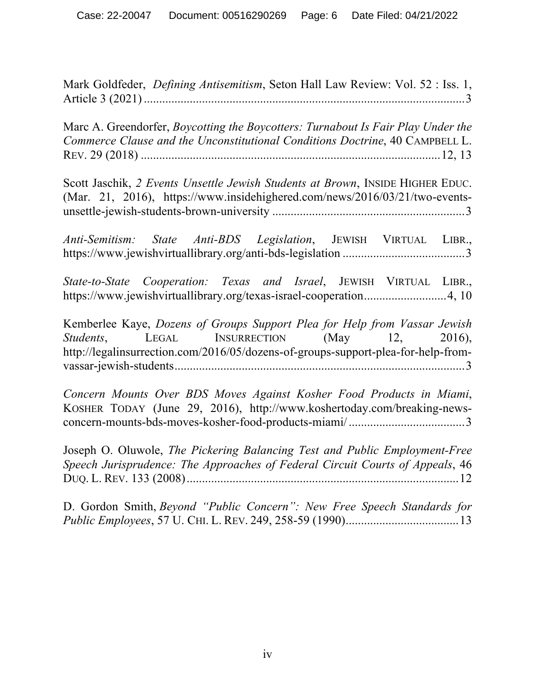Mark Goldfeder, *Defining Antisemitism*, Seton Hall Law Review: Vol. 52 : Iss. 1, Article 3 (2021)......................................................................................................... 3

Marc A. Greendorfer, *Boycotting the Boycotters: Turnabout Is Fair Play Under the Commerce Clause and the Unconstitutional Conditions Doctrine*, 40 CAMPBELL L. REV. 29 (2018) ..................................................................................................12, 13

Scott Jaschik, *2 Events Unsettle Jewish Students at Brown*, INSIDE HIGHER EDUC. (Mar. 21, 2016), https://www.insidehighered.com/news/2016/03/21/two-eventsunsettle-jewish-students-brown-university ............................................................... 3

*Anti-Semitism: State Anti-BDS Legislation*, JEWISH VIRTUAL LIBR., https://www.jewishvirtuallibrary.org/anti-bds-legislation ........................................ 3

*State-to-State Cooperation: Texas and Israel*, JEWISH VIRTUAL LIBR., https://www.jewishvirtuallibrary.org/texas-israel-cooperation...........................4, 10

Kemberlee Kaye, *Dozens of Groups Support Plea for Help from Vassar Jewish Students*, **LEGAL** INSURRECTION (May 12, 2016), http://legalinsurrection.com/2016/05/dozens-of-groups-support-plea-for-help-fromvassar-jewish-students............................................................................................... 3

*Concern Mounts Over BDS Moves Against Kosher Food Products in Miami*, KOSHER TODAY (June 29, 2016), http://www.koshertoday.com/breaking-newsconcern-mounts-bds-moves-kosher-food-products-miami/...................................... 3

Joseph O. Oluwole, *The Pickering Balancing Test and Public Employment-Free Speech Jurisprudence: The Approaches of Federal Circuit Courts of Appeals*, 46 DUQ. L. REV. 133 (2008)......................................................................................... 12

D. Gordon Smith, *Beyond "Public Concern": New Free Speech Standards for Public Employees*, 57 U. CHI. L. REV. 249, 258-59 (1990)..................................... 13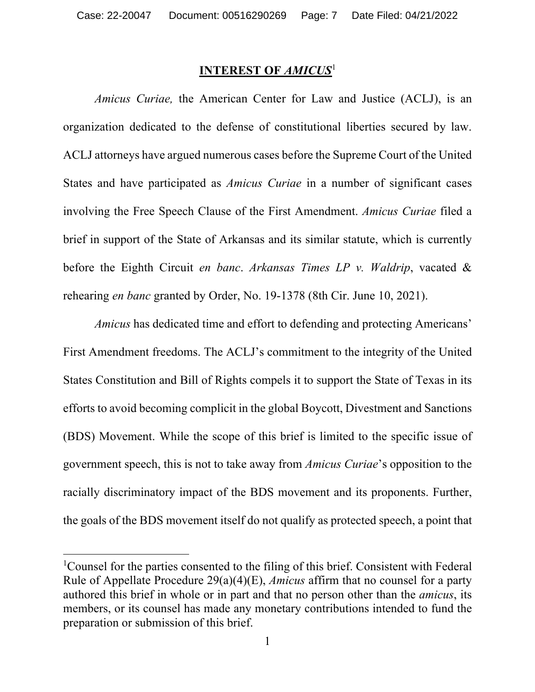#### **INTEREST OF** *AMICUS*<sup>1</sup>

*Amicus Curiae,* the American Center for Law and Justice (ACLJ), is an organization dedicated to the defense of constitutional liberties secured by law. ACLJ attorneys have argued numerous cases before the Supreme Court of the United States and have participated as *Amicus Curiae* in a number of significant cases involving the Free Speech Clause of the First Amendment. *Amicus Curiae* filed a brief in support of the State of Arkansas and its similar statute, which is currently before the Eighth Circuit *en banc*. *Arkansas Times LP v. Waldrip*, vacated & rehearing *en banc* granted by Order, No. 19-1378 (8th Cir. June 10, 2021).

*Amicus* has dedicated time and effort to defending and protecting Americans' First Amendment freedoms. The ACLJ's commitment to the integrity of the United States Constitution and Bill of Rights compels it to support the State of Texas in its efforts to avoid becoming complicit in the global Boycott, Divestment and Sanctions (BDS) Movement. While the scope of this brief is limited to the specific issue of government speech, this is not to take away from *Amicus Curiae*'s opposition to the racially discriminatory impact of the BDS movement and its proponents. Further, the goals of the BDS movement itself do not qualify as protected speech, a point that

<sup>&</sup>lt;sup>1</sup>Counsel for the parties consented to the filing of this brief. Consistent with Federal Rule of Appellate Procedure 29(a)(4)(E), *Amicus* affirm that no counsel for a party authored this brief in whole or in part and that no person other than the *amicus*, its members, or its counsel has made any monetary contributions intended to fund the preparation or submission of this brief.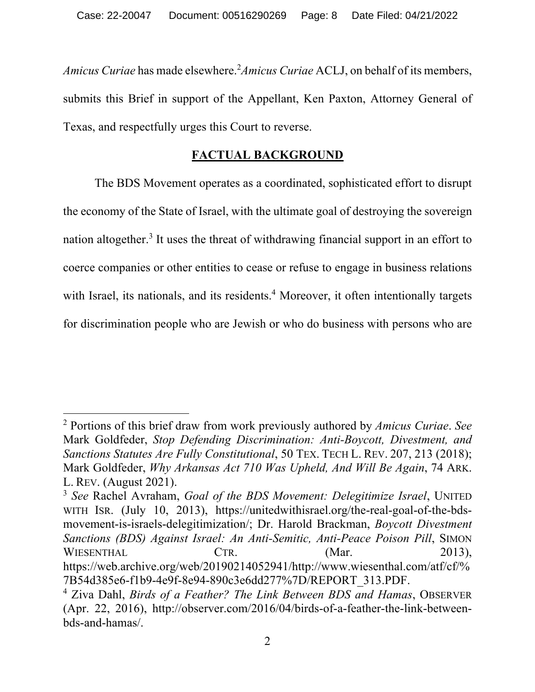Amicus Curiae has made elsewhere.<sup>2</sup> Amicus Curiae ACLJ, on behalf of its members, submits this Brief in support of the Appellant, Ken Paxton, Attorney General of Texas, and respectfully urges this Court to reverse.

#### **FACTUAL BACKGROUND**

The BDS Movement operates as a coordinated, sophisticated effort to disrupt the economy of the State of Israel, with the ultimate goal of destroying the sovereign nation altogether.<sup>3</sup> It uses the threat of withdrawing financial support in an effort to coerce companies or other entities to cease or refuse to engage in business relations with Israel, its nationals, and its residents.<sup>4</sup> Moreover, it often intentionally targets for discrimination people who are Jewish or who do business with persons who are

<sup>2</sup> Portions of this brief draw from work previously authored by *Amicus Curiae*. *See* Mark Goldfeder, *Stop Defending Discrimination: Anti-Boycott, Divestment, and Sanctions Statutes Are Fully Constitutional*, 50 TEX. TECH L. REV. 207, 213 (2018); Mark Goldfeder, *Why Arkansas Act 710 Was Upheld, And Will Be Again*, 74 ARK. L. REV. (August 2021).

<sup>3</sup> *See* Rachel Avraham, *Goal of the BDS Movement: Delegitimize Israel*, UNITED WITH ISR. (July 10, 2013), https://unitedwithisrael.org/the-real-goal-of-the-bdsmovement-is-israels-delegitimization/; Dr. Harold Brackman, *Boycott Divestment Sanctions (BDS) Against Israel: An Anti-Semitic, Anti-Peace Poison Pill*, SIMON WIESENTHAL CTR. (Mar. 2013), https://web.archive.org/web/20190214052941/http://www.wiesenthal.com/atf/cf/% 7B54d385e6-f1b9-4e9f-8e94-890c3e6dd277%7D/REPORT\_313.PDF.

<sup>4</sup> Ziva Dahl, *Birds of a Feather? The Link Between BDS and Hamas*, OBSERVER (Apr. 22, 2016), http://observer.com/2016/04/birds-of-a-feather-the-link-betweenbds-and-hamas/.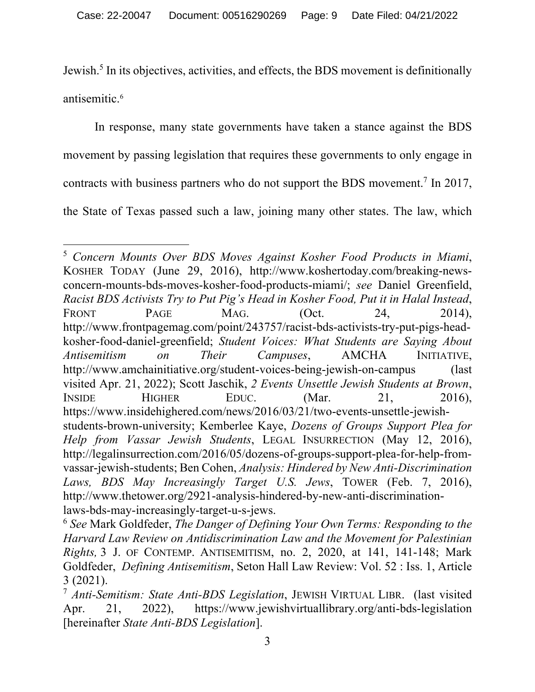Jewish.<sup>5</sup> In its objectives, activities, and effects, the BDS movement is definitionally antisemitic.6

In response, many state governments have taken a stance against the BDS movement by passing legislation that requires these governments to only engage in contracts with business partners who do not support the BDS movement.7 In 2017, the State of Texas passed such a law, joining many other states. The law, which

<sup>5</sup> *Concern Mounts Over BDS Moves Against Kosher Food Products in Miami*, KOSHER TODAY (June 29, 2016), http://www.koshertoday.com/breaking-newsconcern-mounts-bds-moves-kosher-food-products-miami/; *see* Daniel Greenfield, *Racist BDS Activists Try to Put Pig's Head in Kosher Food, Put it in Halal Instead*, FRONT PAGE MAG. (Oct. 24, 2014), http://www.frontpagemag.com/point/243757/racist-bds-activists-try-put-pigs-headkosher-food-daniel-greenfield; *Student Voices: What Students are Saying About Antisemitism on Their Campuses*, AMCHA INITIATIVE, http://www.amchainitiative.org/student-voices-being-jewish-on-campus (last visited Apr. 21, 2022); Scott Jaschik, *2 Events Unsettle Jewish Students at Brown*, INSIDE HIGHER EDUC. (Mar. 21, 2016), https://www.insidehighered.com/news/2016/03/21/two-events-unsettle-jewishstudents-brown-university; Kemberlee Kaye, *Dozens of Groups Support Plea for Help from Vassar Jewish Students*, LEGAL INSURRECTION (May 12, 2016), http://legalinsurrection.com/2016/05/dozens-of-groups-support-plea-for-help-fromvassar-jewish-students; Ben Cohen, *Analysis: Hindered by New Anti-Discrimination Laws, BDS May Increasingly Target U.S. Jews*, TOWER (Feb. 7, 2016), http://www.thetower.org/2921-analysis-hindered-by-new-anti-discriminationlaws-bds-may-increasingly-target-u-s-jews.

<sup>6</sup> *See* Mark Goldfeder, *The Danger of Defining Your Own Terms: Responding to the Harvard Law Review on Antidiscrimination Law and the Movement for Palestinian Rights,* 3 J. OF CONTEMP. ANTISEMITISM, no. 2, 2020, at 141, 141-148; Mark Goldfeder, *Defining Antisemitism*, Seton Hall Law Review: Vol. 52 : Iss. 1, Article

<sup>3 (2021). 7</sup> *Anti-Semitism: State Anti-BDS Legislation*, JEWISH VIRTUAL LIBR. (last visited Apr. 21, 2022), https://www.jewishvirtuallibrary.org/anti-bds-legislation [hereinafter *State Anti-BDS Legislation*].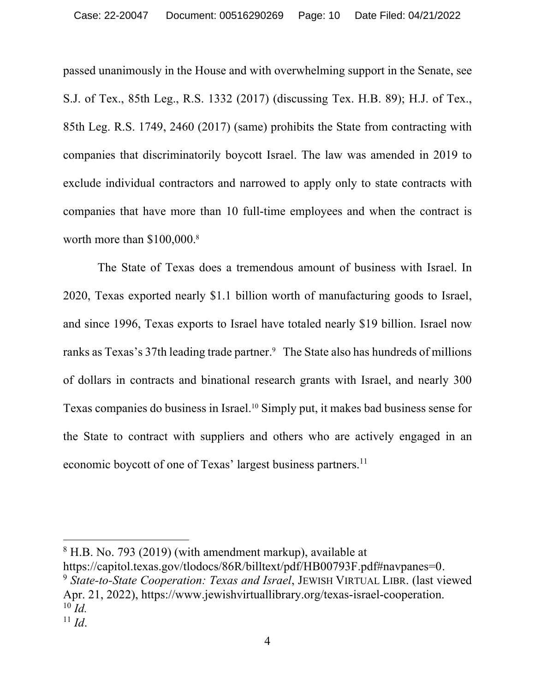passed unanimously in the House and with overwhelming support in the Senate, see S.J. of Tex., 85th Leg., R.S. 1332 (2017) (discussing Tex. H.B. 89); H.J. of Tex., 85th Leg. R.S. 1749, 2460 (2017) (same) prohibits the State from contracting with companies that discriminatorily boycott Israel. The law was amended in 2019 to exclude individual contractors and narrowed to apply only to state contracts with companies that have more than 10 full-time employees and when the contract is worth more than \$100,000.8

The State of Texas does a tremendous amount of business with Israel. In 2020, Texas exported nearly \$1.1 billion worth of manufacturing goods to Israel, and since 1996, Texas exports to Israel have totaled nearly \$19 billion. Israel now ranks as Texas's 37th leading trade partner.<sup>9</sup> The State also has hundreds of millions of dollars in contracts and binational research grants with Israel, and nearly 300 Texas companies do business in Israel. <sup>10</sup> Simply put, it makes bad business sense for the State to contract with suppliers and others who are actively engaged in an economic boycott of one of Texas' largest business partners.<sup>11</sup>

 $8$  H.B. No. 793 (2019) (with amendment markup), available at https://capitol.texas.gov/tlodocs/86R/billtext/pdf/HB00793F.pdf#navpanes=0.

<sup>&</sup>lt;sup>9</sup> State-to-State Cooperation: Texas and Israel, JEWISH VIRTUAL LIBR. (last viewed Apr. 21, 2022), https://www.jewishvirtuallibrary.org/texas-israel-cooperation. 10 *Id.*

 $11$  *Id.*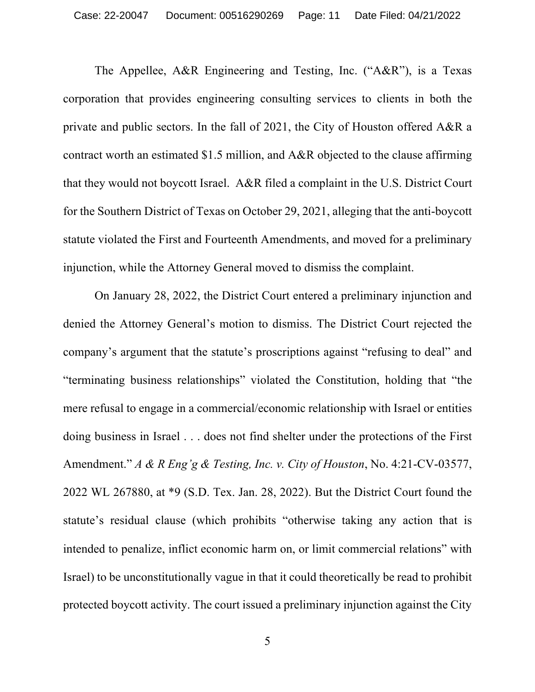The Appellee, A&R Engineering and Testing, Inc. ("A&R"), is a Texas corporation that provides engineering consulting services to clients in both the private and public sectors. In the fall of 2021, the City of Houston offered A&R a contract worth an estimated \$1.5 million, and A&R objected to the clause affirming that they would not boycott Israel. A&R filed a complaint in the U.S. District Court for the Southern District of Texas on October 29, 2021, alleging that the anti-boycott statute violated the First and Fourteenth Amendments, and moved for a preliminary injunction, while the Attorney General moved to dismiss the complaint.

On January 28, 2022, the District Court entered a preliminary injunction and denied the Attorney General's motion to dismiss. The District Court rejected the company's argument that the statute's proscriptions against "refusing to deal" and "terminating business relationships" violated the Constitution, holding that "the mere refusal to engage in a commercial/economic relationship with Israel or entities doing business in Israel . . . does not find shelter under the protections of the First Amendment." *A & R Eng'g & Testing, Inc. v. City of Houston*, No. 4:21-CV-03577, 2022 WL 267880, at \*9 (S.D. Tex. Jan. 28, 2022). But the District Court found the statute's residual clause (which prohibits "otherwise taking any action that is intended to penalize, inflict economic harm on, or limit commercial relations" with Israel) to be unconstitutionally vague in that it could theoretically be read to prohibit protected boycott activity. The court issued a preliminary injunction against the City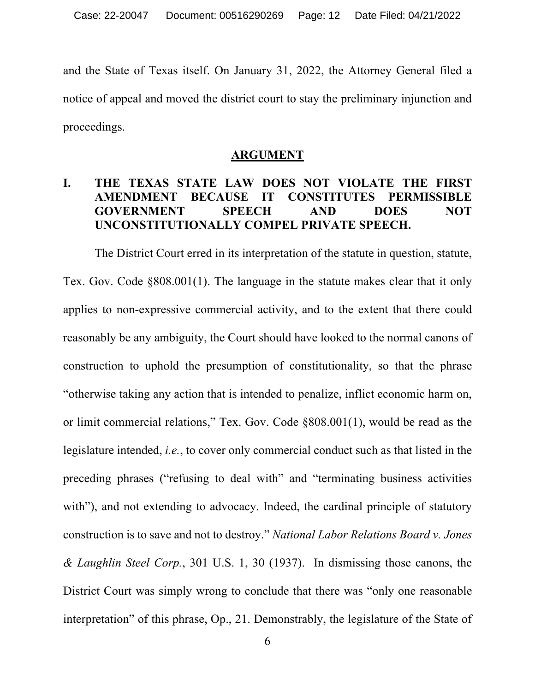and the State of Texas itself. On January 31, 2022, the Attorney General filed a notice of appeal and moved the district court to stay the preliminary injunction and proceedings.

#### **ARGUMENT**

# **I. THE TEXAS STATE LAW DOES NOT VIOLATE THE FIRST AMENDMENT BECAUSE IT CONSTITUTES PERMISSIBLE GOVERNMENT SPEECH AND DOES NOT UNCONSTITUTIONALLY COMPEL PRIVATE SPEECH.**

The District Court erred in its interpretation of the statute in question, statute, Tex. Gov. Code §808.001(1). The language in the statute makes clear that it only applies to non-expressive commercial activity, and to the extent that there could reasonably be any ambiguity, the Court should have looked to the normal canons of construction to uphold the presumption of constitutionality, so that the phrase "otherwise taking any action that is intended to penalize, inflict economic harm on, or limit commercial relations," Tex. Gov. Code §808.001(1), would be read as the legislature intended, *i.e.*, to cover only commercial conduct such as that listed in the preceding phrases ("refusing to deal with" and "terminating business activities with"), and not extending to advocacy. Indeed, the cardinal principle of statutory construction is to save and not to destroy." *National Labor Relations Board v. Jones & Laughlin Steel Corp.*, 301 U.S. 1, 30 (1937). In dismissing those canons, the District Court was simply wrong to conclude that there was "only one reasonable interpretation" of this phrase, Op., 21. Demonstrably, the legislature of the State of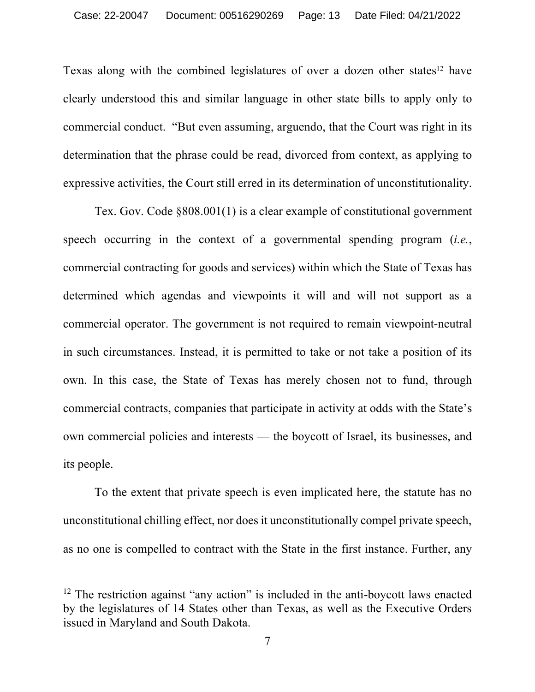Texas along with the combined legislatures of over a dozen other states<sup>12</sup> have clearly understood this and similar language in other state bills to apply only to commercial conduct. "But even assuming, arguendo, that the Court was right in its determination that the phrase could be read, divorced from context, as applying to expressive activities, the Court still erred in its determination of unconstitutionality.

Tex. Gov. Code §808.001(1) is a clear example of constitutional government speech occurring in the context of a governmental spending program (*i.e.*, commercial contracting for goods and services) within which the State of Texas has determined which agendas and viewpoints it will and will not support as a commercial operator. The government is not required to remain viewpoint-neutral in such circumstances. Instead, it is permitted to take or not take a position of its own. In this case, the State of Texas has merely chosen not to fund, through commercial contracts, companies that participate in activity at odds with the State's own commercial policies and interests — the boycott of Israel, its businesses, and its people.

To the extent that private speech is even implicated here, the statute has no unconstitutional chilling effect, nor does it unconstitutionally compel private speech, as no one is compelled to contract with the State in the first instance. Further, any

 $12$  The restriction against "any action" is included in the anti-boycott laws enacted by the legislatures of 14 States other than Texas, as well as the Executive Orders issued in Maryland and South Dakota.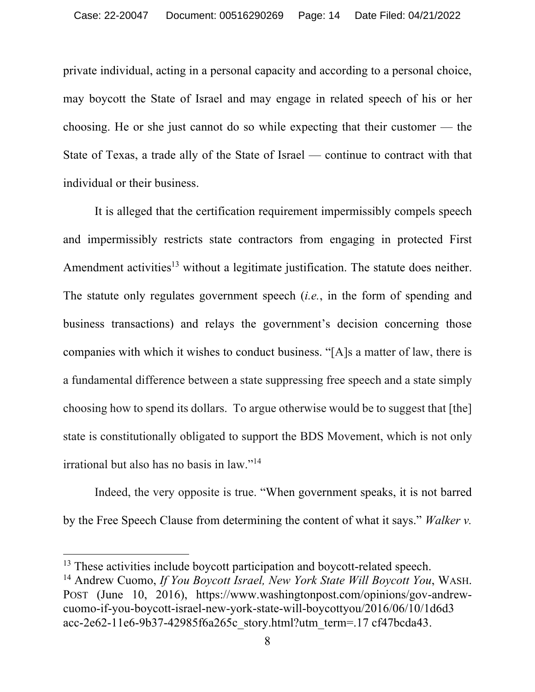private individual, acting in a personal capacity and according to a personal choice, may boycott the State of Israel and may engage in related speech of his or her choosing. He or she just cannot do so while expecting that their customer — the State of Texas, a trade ally of the State of Israel — continue to contract with that individual or their business.

It is alleged that the certification requirement impermissibly compels speech and impermissibly restricts state contractors from engaging in protected First Amendment activities<sup>13</sup> without a legitimate justification. The statute does neither. The statute only regulates government speech (*i.e.*, in the form of spending and business transactions) and relays the government's decision concerning those companies with which it wishes to conduct business. "[A]s a matter of law, there is a fundamental difference between a state suppressing free speech and a state simply choosing how to spend its dollars. To argue otherwise would be to suggest that [the] state is constitutionally obligated to support the BDS Movement, which is not only irrational but also has no basis in law."14

Indeed, the very opposite is true. "When government speaks, it is not barred by the Free Speech Clause from determining the content of what it says." *Walker v.* 

<sup>&</sup>lt;sup>13</sup> These activities include boycott participation and boycott-related speech.

<sup>14</sup> Andrew Cuomo, *If You Boycott Israel, New York State Will Boycott You*, WASH. POST (June 10, 2016), https://www.washingtonpost.com/opinions/gov-andrewcuomo-if-you-boycott-israel-new-york-state-will-boycottyou/2016/06/10/1d6d3 acc-2e62-11e6-9b37-42985f6a265c\_story.html?utm\_term=.17 cf47bcda43.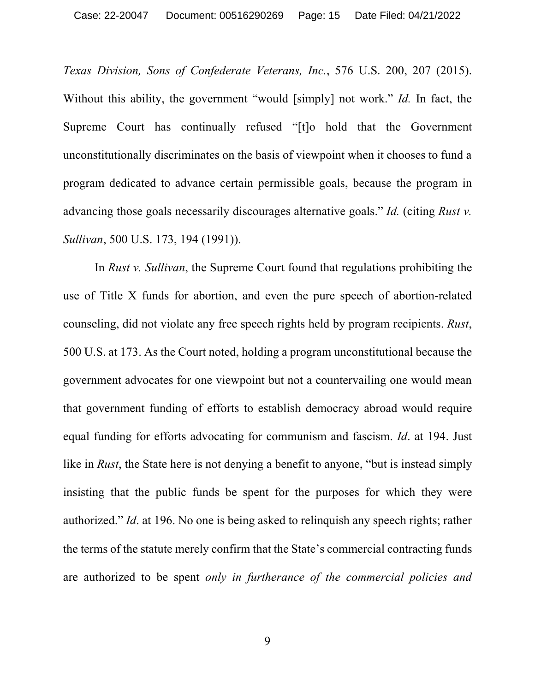*Texas Division, Sons of Confederate Veterans, Inc.*, 576 U.S. 200, 207 (2015). Without this ability, the government "would [simply] not work." *Id.* In fact, the Supreme Court has continually refused "[t]o hold that the Government unconstitutionally discriminates on the basis of viewpoint when it chooses to fund a program dedicated to advance certain permissible goals, because the program in advancing those goals necessarily discourages alternative goals." *Id.* (citing *Rust v. Sullivan*, 500 U.S. 173, 194 (1991)).

In *Rust v. Sullivan*, the Supreme Court found that regulations prohibiting the use of Title X funds for abortion, and even the pure speech of abortion-related counseling, did not violate any free speech rights held by program recipients. *Rust*, 500 U.S. at 173. As the Court noted, holding a program unconstitutional because the government advocates for one viewpoint but not a countervailing one would mean that government funding of efforts to establish democracy abroad would require equal funding for efforts advocating for communism and fascism. *Id*. at 194. Just like in *Rust*, the State here is not denying a benefit to anyone, "but is instead simply insisting that the public funds be spent for the purposes for which they were authorized." *Id*. at 196. No one is being asked to relinquish any speech rights; rather the terms of the statute merely confirm that the State's commercial contracting funds are authorized to be spent *only in furtherance of the commercial policies and*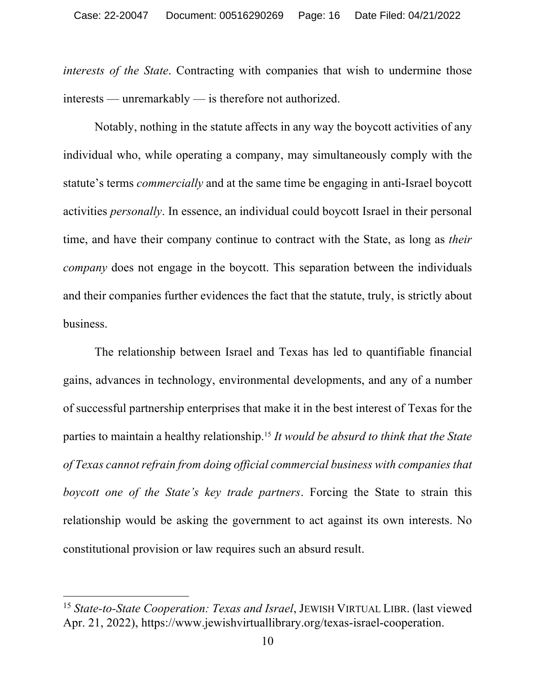*interests of the State*. Contracting with companies that wish to undermine those interests — unremarkably — is therefore not authorized.

Notably, nothing in the statute affects in any way the boycott activities of any individual who, while operating a company, may simultaneously comply with the statute's terms *commercially* and at the same time be engaging in anti-Israel boycott activities *personally*. In essence, an individual could boycott Israel in their personal time, and have their company continue to contract with the State, as long as *their company* does not engage in the boycott. This separation between the individuals and their companies further evidences the fact that the statute, truly, is strictly about business.

The relationship between Israel and Texas has led to quantifiable financial gains, advances in technology, environmental developments, and any of a number of successful partnership enterprises that make it in the best interest of Texas for the parties to maintain a healthy relationship.15 *It would be absurd to think that the State of Texas cannot refrain from doing official commercial business with companies that boycott one of the State's key trade partners*. Forcing the State to strain this relationship would be asking the government to act against its own interests. No constitutional provision or law requires such an absurd result.

<sup>15</sup> *State-to-State Cooperation: Texas and Israel*, JEWISH VIRTUAL LIBR. (last viewed Apr. 21, 2022), https://www.jewishvirtuallibrary.org/texas-israel-cooperation.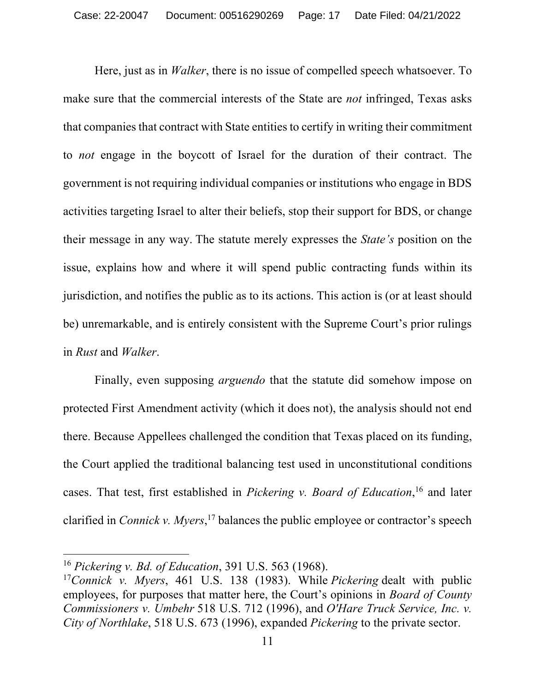Here, just as in *Walker*, there is no issue of compelled speech whatsoever. To make sure that the commercial interests of the State are *not* infringed, Texas asks that companies that contract with State entities to certify in writing their commitment to *not* engage in the boycott of Israel for the duration of their contract. The government is not requiring individual companies or institutions who engage in BDS activities targeting Israel to alter their beliefs, stop their support for BDS, or change their message in any way. The statute merely expresses the *State's* position on the issue, explains how and where it will spend public contracting funds within its jurisdiction, and notifies the public as to its actions. This action is (or at least should be) unremarkable, and is entirely consistent with the Supreme Court's prior rulings in *Rust* and *Walker*.

Finally, even supposing *arguendo* that the statute did somehow impose on protected First Amendment activity (which it does not), the analysis should not end there. Because Appellees challenged the condition that Texas placed on its funding, the Court applied the traditional balancing test used in unconstitutional conditions cases. That test, first established in *Pickering v. Board of Education*, <sup>16</sup> and later clarified in *Connick v. Myers*, <sup>17</sup> balances the public employee or contractor's speech

<sup>16</sup> *Pickering v. Bd. of Education*, 391 U.S. 563 (1968).

<sup>17</sup>*Connick v. Myers*, 461 U.S. 138 (1983). While *Pickering* dealt with public employees, for purposes that matter here, the Court's opinions in *Board of County Commissioners v. Umbehr* 518 U.S. 712 (1996), and *O'Hare Truck Service, Inc. v. City of Northlake*, 518 U.S. 673 (1996), expanded *Pickering* to the private sector.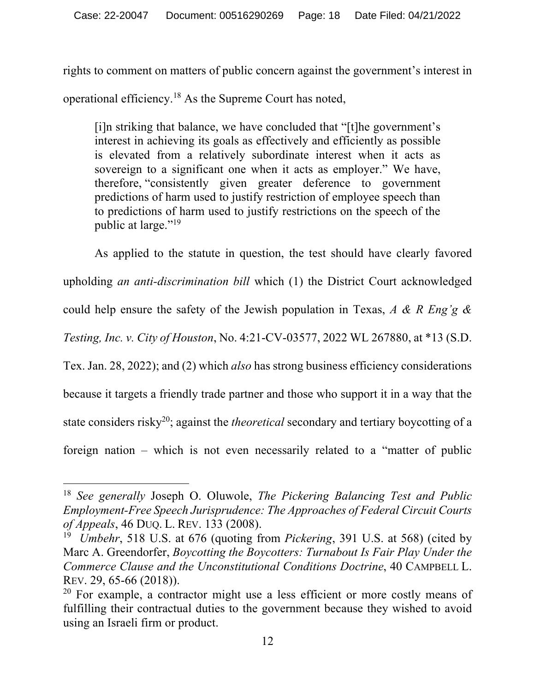rights to comment on matters of public concern against the government's interest in operational efficiency.18 As the Supreme Court has noted,

[i]n striking that balance, we have concluded that "[t]he government's interest in achieving its goals as effectively and efficiently as possible is elevated from a relatively subordinate interest when it acts as sovereign to a significant one when it acts as employer." We have, therefore, "consistently given greater deference to government predictions of harm used to justify restriction of employee speech than to predictions of harm used to justify restrictions on the speech of the public at large."<sup>19</sup>

As applied to the statute in question, the test should have clearly favored upholding *an anti-discrimination bill* which (1) the District Court acknowledged could help ensure the safety of the Jewish population in Texas, *A & R Eng'g & Testing, Inc. v. City of Houston*, No. 4:21-CV-03577, 2022 WL 267880, at \*13 (S.D. Tex. Jan. 28, 2022); and (2) which *also* has strong business efficiency considerations because it targets a friendly trade partner and those who support it in a way that the state considers risky<sup>20</sup>; against the *theoretical* secondary and tertiary boycotting of a foreign nation – which is not even necessarily related to a "matter of public

<sup>18</sup> *See generally* Joseph O. Oluwole, *The Pickering Balancing Test and Public Employment-Free Speech Jurisprudence: The Approaches of Federal Circuit Courts of Appeals*, 46 DUQ. L. REV. 133 (2008).

<sup>19</sup> *Umbehr*, 518 U.S. at 676 (quoting from *Pickering*, 391 U.S. at 568) (cited by Marc A. Greendorfer, *Boycotting the Boycotters: Turnabout Is Fair Play Under the Commerce Clause and the Unconstitutional Conditions Doctrine*, 40 CAMPBELL L. REV. 29, 65-66 (2018)).

 $20$  For example, a contractor might use a less efficient or more costly means of fulfilling their contractual duties to the government because they wished to avoid using an Israeli firm or product.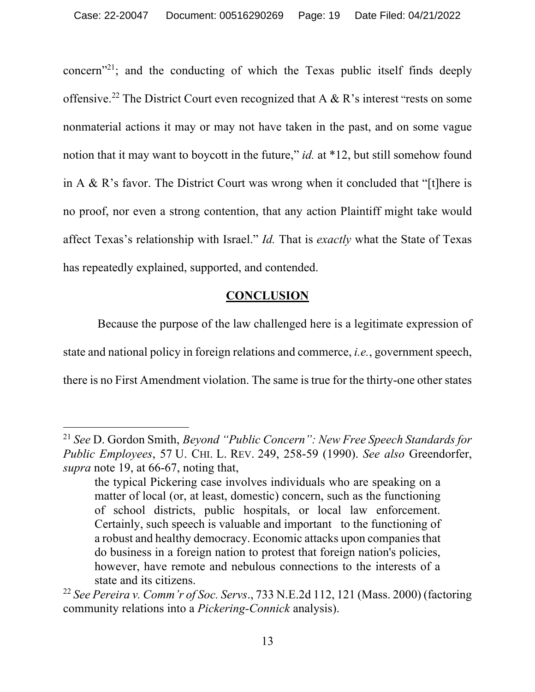concern<sup> $21$ </sup>; and the conducting of which the Texas public itself finds deeply offensive.<sup>22</sup> The District Court even recognized that A & R's interest "rests on some nonmaterial actions it may or may not have taken in the past, and on some vague notion that it may want to boycott in the future," *id.* at \*12, but still somehow found in A & R's favor. The District Court was wrong when it concluded that "[t]here is no proof, nor even a strong contention, that any action Plaintiff might take would affect Texas's relationship with Israel." *Id.* That is *exactly* what the State of Texas has repeatedly explained, supported, and contended.

#### **CONCLUSION**

Because the purpose of the law challenged here is a legitimate expression of state and national policy in foreign relations and commerce, *i.e.*, government speech, there is no First Amendment violation. The same is true for the thirty-one other states

<sup>21</sup> *See* D. Gordon Smith, *Beyond "Public Concern": New Free Speech Standards for Public Employees*, 57 U. CHI. L. REV. 249, 258-59 (1990). *See also* Greendorfer, *supra* note 19, at 66-67, noting that,

the typical Pickering case involves individuals who are speaking on a matter of local (or, at least, domestic) concern, such as the functioning of school districts, public hospitals, or local law enforcement. Certainly, such speech is valuable and important to the functioning of a robust and healthy democracy. Economic attacks upon companies that do business in a foreign nation to protest that foreign nation's policies, however, have remote and nebulous connections to the interests of a state and its citizens.

<sup>22</sup> *See Pereira v. Comm'r of Soc. Servs*., 733 N.E.2d 112, 121 (Mass. 2000) (factoring community relations into a *Pickering-Connick* analysis).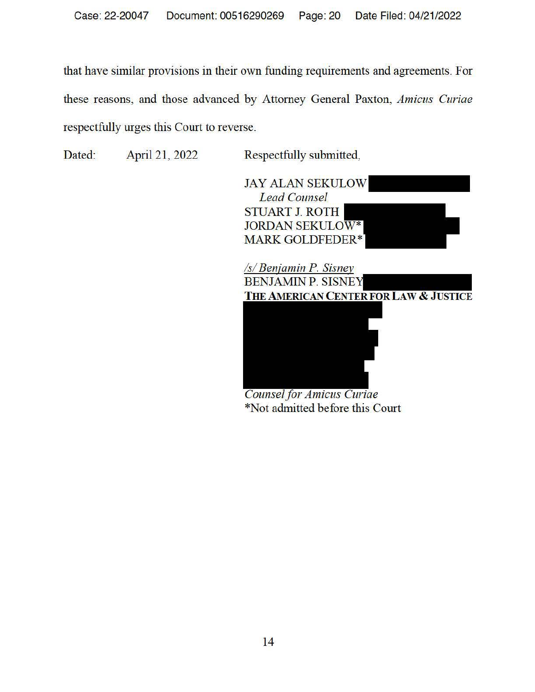that have similar provisions in their own funding requirements and agreements. For these reasons, and those advanced by Attorney General Paxton, *Amicus Curiae*  respectfully urges this Court to reverse.

Dated: April 21, 2022 Respectfully submitted,

JAY ALAN SEKULOW *Lead Counsel*  STUART J. ROTH JORDAN SEKULOW\* MARK GOLDFEDER\*





*Counsel for Amicus Curiae*  \*Not admitted before this Court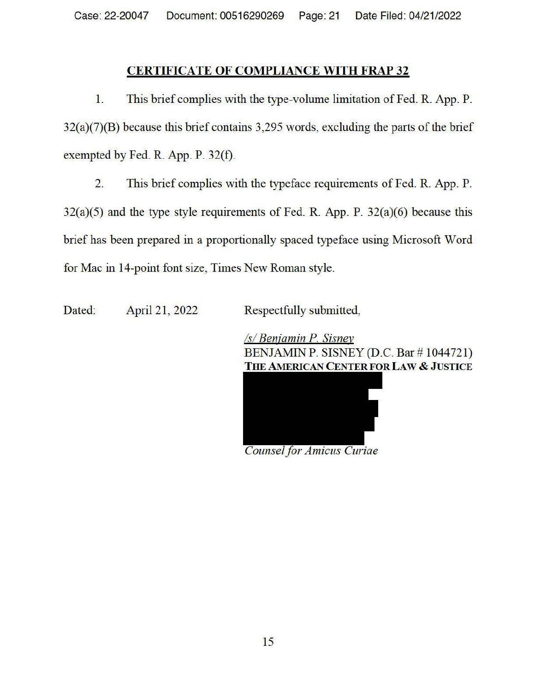#### **CERTIFICATE OF COMPLIANCE WITH FRAP 32**

1. This brief complies with the type-volume limitation of Fed. R. App. P. 32(a)(7)(B) because this brief contains 3,295 words, excluding the parts of the brief exempted by Fed. R. App. P. 32(f).

2. This brief complies with the typeface requirements of Fed. R. App. P.  $32(a)(5)$  and the type style requirements of Fed. R. App. P.  $32(a)(6)$  because this brief has been prepared in a proportionally spaced typeface using Microsoft Word for Mac in 14-point font size, Times New Roman style.

Dated: April 21, 2022 Respectfully submitted,

*Isl Beniamin P. Sisney*  BENJAMIN P. SISNEY (D.C. Bar # 1044721) **THE AMERICAN CENTER FOR LAW** & **JUSTICE** 



*Counsel for Amicus Curiae*